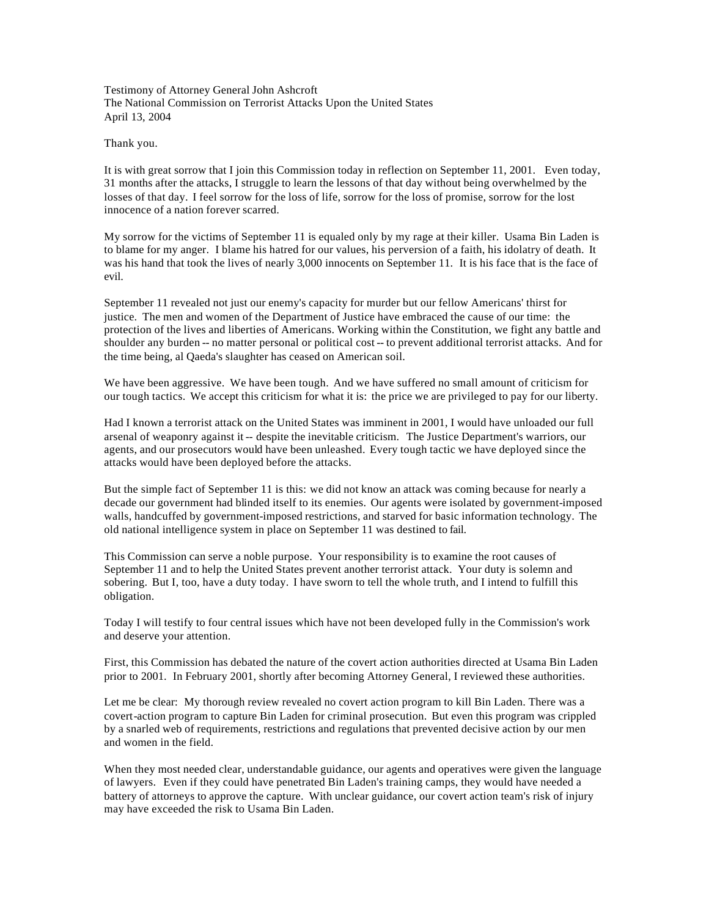Testimony of Attorney General John Ashcroft The National Commission on Terrorist Attacks Upon the United States April 13, 2004

Thank you.

It is with great sorrow that I join this Commission today in reflection on September 11, 2001. Even today, 31 months after the attacks, I struggle to learn the lessons of that day without being overwhelmed by the losses of that day. I feel sorrow for the loss of life, sorrow for the loss of promise, sorrow for the lost innocence of a nation forever scarred.

My sorrow for the victims of September 11 is equaled only by my rage at their killer. Usama Bin Laden is to blame for my anger. I blame his hatred for our values, his perversion of a faith, his idolatry of death. It was his hand that took the lives of nearly 3,000 innocents on September 11. It is his face that is the face of evil.

September 11 revealed not just our enemy's capacity for murder but our fellow Americans' thirst for justice. The men and women of the Department of Justice have embraced the cause of our time: the protection of the lives and liberties of Americans. Working within the Constitution, we fight any battle and shoulder any burden -- no matter personal or political cost -- to prevent additional terrorist attacks. And for the time being, al Qaeda's slaughter has ceased on American soil.

We have been aggressive. We have been tough. And we have suffered no small amount of criticism for our tough tactics. We accept this criticism for what it is: the price we are privileged to pay for our liberty.

Had I known a terrorist attack on the United States was imminent in 2001, I would have unloaded our full arsenal of weaponry against it -- despite the inevitable criticism. The Justice Department's warriors, our agents, and our prosecutors would have been unleashed. Every tough tactic we have deployed since the attacks would have been deployed before the attacks.

But the simple fact of September 11 is this: we did not know an attack was coming because for nearly a decade our government had blinded itself to its enemies. Our agents were isolated by government-imposed walls, handcuffed by government-imposed restrictions, and starved for basic information technology. The old national intelligence system in place on September 11 was destined to fail.

This Commission can serve a noble purpose. Your responsibility is to examine the root causes of September 11 and to help the United States prevent another terrorist attack. Your duty is solemn and sobering. But I, too, have a duty today. I have sworn to tell the whole truth, and I intend to fulfill this obligation.

Today I will testify to four central issues which have not been developed fully in the Commission's work and deserve your attention.

First, this Commission has debated the nature of the covert action authorities directed at Usama Bin Laden prior to 2001. In February 2001, shortly after becoming Attorney General, I reviewed these authorities.

Let me be clear: My thorough review revealed no covert action program to kill Bin Laden. There was a covert-action program to capture Bin Laden for criminal prosecution. But even this program was crippled by a snarled web of requirements, restrictions and regulations that prevented decisive action by our men and women in the field.

When they most needed clear, understandable guidance, our agents and operatives were given the language of lawyers. Even if they could have penetrated Bin Laden's training camps, they would have needed a battery of attorneys to approve the capture. With unclear guidance, our covert action team's risk of injury may have exceeded the risk to Usama Bin Laden.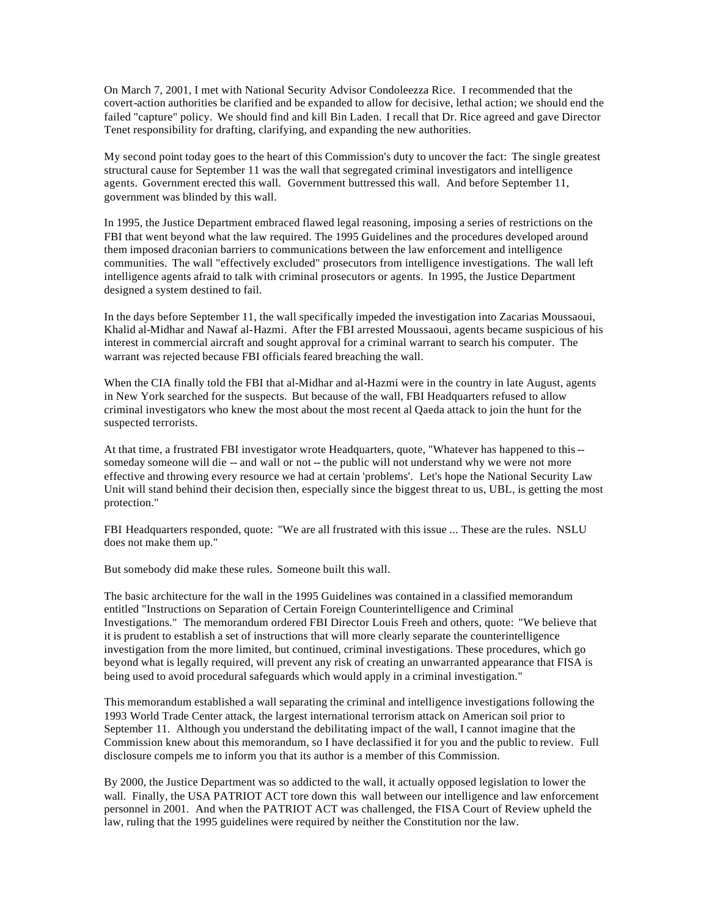On March 7, 2001, I met with National Security Advisor Condoleezza Rice. I recommended that the covert-action authorities be clarified and be expanded to allow for decisive, lethal action; we should end the failed "capture" policy. We should find and kill Bin Laden. I recall that Dr. Rice agreed and gave Director Tenet responsibility for drafting, clarifying, and expanding the new authorities.

My second point today goes to the heart of this Commission's duty to uncover the fact: The single greatest structural cause for September 11 was the wall that segregated criminal investigators and intelligence agents. Government erected this wall. Government buttressed this wall. And before September 11, government was blinded by this wall.

In 1995, the Justice Department embraced flawed legal reasoning, imposing a series of restrictions on the FBI that went beyond what the law required. The 1995 Guidelines and the procedures developed around them imposed draconian barriers to communications between the law enforcement and intelligence communities. The wall "effectively excluded" prosecutors from intelligence investigations. The wall left intelligence agents afraid to talk with criminal prosecutors or agents. In 1995, the Justice Department designed a system destined to fail.

In the days before September 11, the wall specifically impeded the investigation into Zacarias Moussaoui, Khalid al-Midhar and Nawaf al-Hazmi. After the FBI arrested Moussaoui, agents became suspicious of his interest in commercial aircraft and sought approval for a criminal warrant to search his computer. The warrant was rejected because FBI officials feared breaching the wall.

When the CIA finally told the FBI that al-Midhar and al-Hazmi were in the country in late August, agents in New York searched for the suspects. But because of the wall, FBI Headquarters refused to allow criminal investigators who knew the most about the most recent al Qaeda attack to join the hunt for the suspected terrorists.

At that time, a frustrated FBI investigator wrote Headquarters, quote, "Whatever has happened to this - someday someone will die -- and wall or not -- the public will not understand why we were not more effective and throwing every resource we had at certain 'problems'. Let's hope the National Security Law Unit will stand behind their decision then, especially since the biggest threat to us, UBL, is getting the most protection."

FBI Headquarters responded, quote: "We are all frustrated with this issue ... These are the rules. NSLU does not make them up."

But somebody did make these rules. Someone built this wall.

The basic architecture for the wall in the 1995 Guidelines was contained in a classified memorandum entitled "Instructions on Separation of Certain Foreign Counterintelligence and Criminal Investigations." The memorandum ordered FBI Director Louis Freeh and others, quote: "We believe that it is prudent to establish a set of instructions that will more clearly separate the counterintelligence investigation from the more limited, but continued, criminal investigations. These procedures, which go beyond what is legally required, will prevent any risk of creating an unwarranted appearance that FISA is being used to avoid procedural safeguards which would apply in a criminal investigation."

This memorandum established a wall separating the criminal and intelligence investigations following the 1993 World Trade Center attack, the largest international terrorism attack on American soil prior to September 11. Although you understand the debilitating impact of the wall, I cannot imagine that the Commission knew about this memorandum, so I have declassified it for you and the public to review. Full disclosure compels me to inform you that its author is a member of this Commission.

By 2000, the Justice Department was so addicted to the wall, it actually opposed legislation to lower the wall. Finally, the USA PATRIOT ACT tore down this wall between our intelligence and law enforcement personnel in 2001. And when the PATRIOT ACT was challenged, the FISA Court of Review upheld the law, ruling that the 1995 guidelines were required by neither the Constitution nor the law.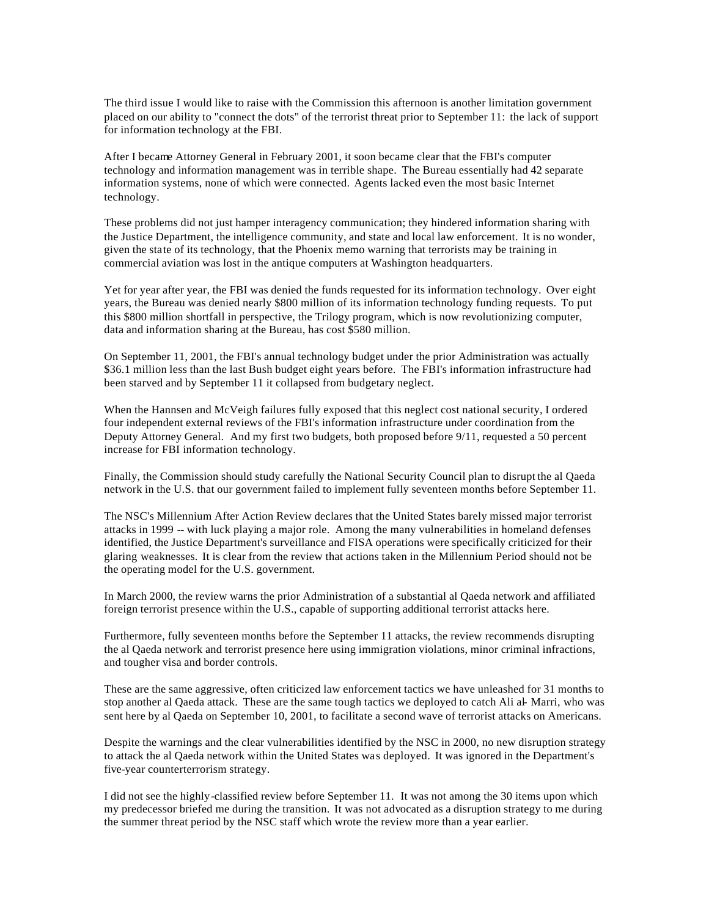The third issue I would like to raise with the Commission this afternoon is another limitation government placed on our ability to "connect the dots" of the terrorist threat prior to September 11: the lack of support for information technology at the FBI.

After I became Attorney General in February 2001, it soon became clear that the FBI's computer technology and information management was in terrible shape. The Bureau essentially had 42 separate information systems, none of which were connected. Agents lacked even the most basic Internet technology.

These problems did not just hamper interagency communication; they hindered information sharing with the Justice Department, the intelligence community, and state and local law enforcement. It is no wonder, given the state of its technology, that the Phoenix memo warning that terrorists may be training in commercial aviation was lost in the antique computers at Washington headquarters.

Yet for year after year, the FBI was denied the funds requested for its information technology. Over eight years, the Bureau was denied nearly \$800 million of its information technology funding requests. To put this \$800 million shortfall in perspective, the Trilogy program, which is now revolutionizing computer, data and information sharing at the Bureau, has cost \$580 million.

On September 11, 2001, the FBI's annual technology budget under the prior Administration was actually \$36.1 million less than the last Bush budget eight years before. The FBI's information infrastructure had been starved and by September 11 it collapsed from budgetary neglect.

When the Hannsen and McVeigh failures fully exposed that this neglect cost national security, I ordered four independent external reviews of the FBI's information infrastructure under coordination from the Deputy Attorney General. And my first two budgets, both proposed before 9/11, requested a 50 percent increase for FBI information technology.

Finally, the Commission should study carefully the National Security Council plan to disrupt the al Qaeda network in the U.S. that our government failed to implement fully seventeen months before September 11.

The NSC's Millennium After Action Review declares that the United States barely missed major terrorist attacks in 1999 -- with luck playing a major role. Among the many vulnerabilities in homeland defenses identified, the Justice Department's surveillance and FISA operations were specifically criticized for their glaring weaknesses. It is clear from the review that actions taken in the Millennium Period should not be the operating model for the U.S. government.

In March 2000, the review warns the prior Administration of a substantial al Qaeda network and affiliated foreign terrorist presence within the U.S., capable of supporting additional terrorist attacks here.

Furthermore, fully seventeen months before the September 11 attacks, the review recommends disrupting the al Qaeda network and terrorist presence here using immigration violations, minor criminal infractions, and tougher visa and border controls.

These are the same aggressive, often criticized law enforcement tactics we have unleashed for 31 months to stop another al Qaeda attack. These are the same tough tactics we deployed to catch Ali al- Marri, who was sent here by al Qaeda on September 10, 2001, to facilitate a second wave of terrorist attacks on Americans.

Despite the warnings and the clear vulnerabilities identified by the NSC in 2000, no new disruption strategy to attack the al Qaeda network within the United States was deployed. It was ignored in the Department's five-year counterterrorism strategy.

I did not see the highly-classified review before September 11. It was not among the 30 items upon which my predecessor briefed me during the transition. It was not advocated as a disruption strategy to me during the summer threat period by the NSC staff which wrote the review more than a year earlier.